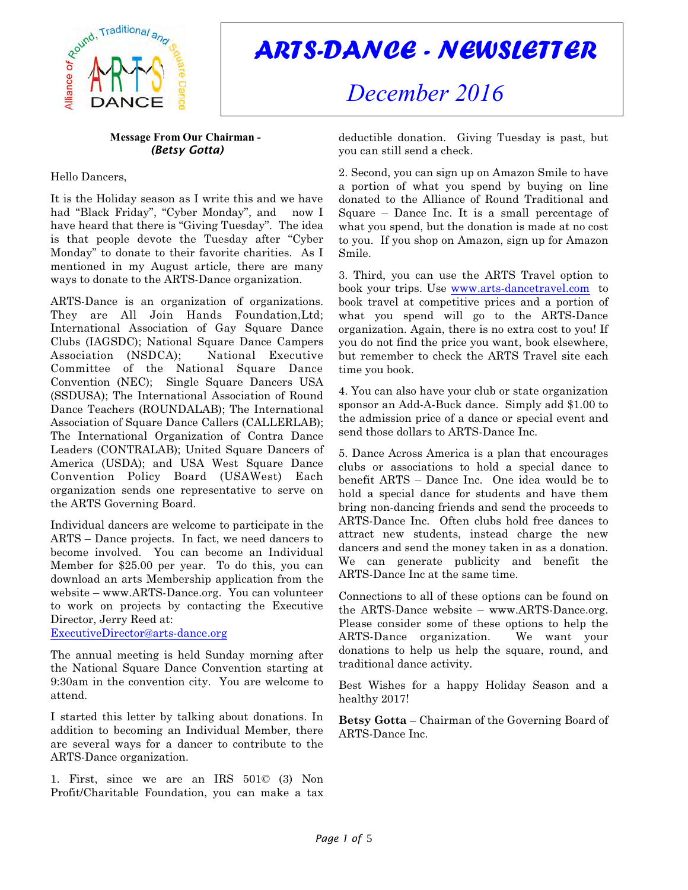

# *ARTS-DANCE - NEWSLETTER*

# *December 2016*

#### **Message From Our Chairman -**  *(Betsy Gotta)*

## Hello Dancers,

It is the Holiday season as I write this and we have had "Black Friday", "Cyber Monday", and now I have heard that there is "Giving Tuesday". The idea is that people devote the Tuesday after "Cyber Monday" to donate to their favorite charities. As I mentioned in my August article, there are many ways to donate to the ARTS-Dance organization.

ARTS-Dance is an organization of organizations. They are All Join Hands Foundation, Ltd; International Association of Gay Square Dance Clubs (IAGSDC); National Square Dance Campers Association (NSDCA); National Executive Committee of the National Square Dance Convention (NEC); Single Square Dancers USA (SSDUSA); The International Association of Round Dance Teachers (ROUNDALAB); The International Association of Square Dance Callers (CALLERLAB); The International Organization of Contra Dance Leaders (CONTRALAB); United Square Dancers of America (USDA); and USA West Square Dance Convention Policy Board (USAWest) Each organization sends one representative to serve on the ARTS Governing Board.

Individual dancers are welcome to participate in the ARTS – Dance projects. In fact, we need dancers to become involved. You can become an Individual Member for \$25.00 per year. To do this, you can download an arts Membership application from the website – www.ARTS-Dance.org. You can volunteer to work on projects by contacting the Executive Director, Jerry Reed at:

[ExecutiveDirector@arts-dance.org](mailto:ExecutiveDirector@arts-dance.org)

The annual meeting is held Sunday morning after the National Square Dance Convention starting at 9:30am in the convention city. You are welcome to attend.

I started this letter by talking about donations. In addition to becoming an Individual Member, there are several ways for a dancer to contribute to the ARTS-Dance organization.

1. First, since we are an IRS 501© (3) Non Profit/Charitable Foundation, you can make a tax deductible donation. Giving Tuesday is past, but you can still send a check.

2. Second, you can sign up on Amazon Smile to have a portion of what you spend by buying on line donated to the Alliance of Round Traditional and Square – Dance Inc. It is a small percentage of what you spend, but the donation is made at no cost to you. If you shop on Amazon, sign up for Amazon Smile.

3. Third, you can use the ARTS Travel option to book your trips. Use [www.arts-dancetravel.com](http://www.arts-dancetravel.com) to book travel at competitive prices and a portion of what you spend will go to the ARTS-Dance organization. Again, there is no extra cost to you! If you do not find the price you want, book elsewhere, but remember to check the ARTS Travel site each time you book.

4. You can also have your club or state organization sponsor an Add-A-Buck dance. Simply add \$1.00 to the admission price of a dance or special event and send those dollars to ARTS-Dance Inc.

5. Dance Across America is a plan that encourages clubs or associations to hold a special dance to benefit ARTS – Dance Inc. One idea would be to hold a special dance for students and have them bring non-dancing friends and send the proceeds to ARTS-Dance Inc. Often clubs hold free dances to attract new students, instead charge the new dancers and send the money taken in as a donation. We can generate publicity and benefit the ARTS-Dance Inc at the same time.

Connections to all of these options can be found on the ARTS-Dance website – www.ARTS-Dance.org. Please consider some of these options to help the ARTS-Dance organization. We want your donations to help us help the square, round, and traditional dance activity.

Best Wishes for a happy Holiday Season and a healthy 2017!

**Betsy Gotta** – Chairman of the Governing Board of ARTS-Dance Inc.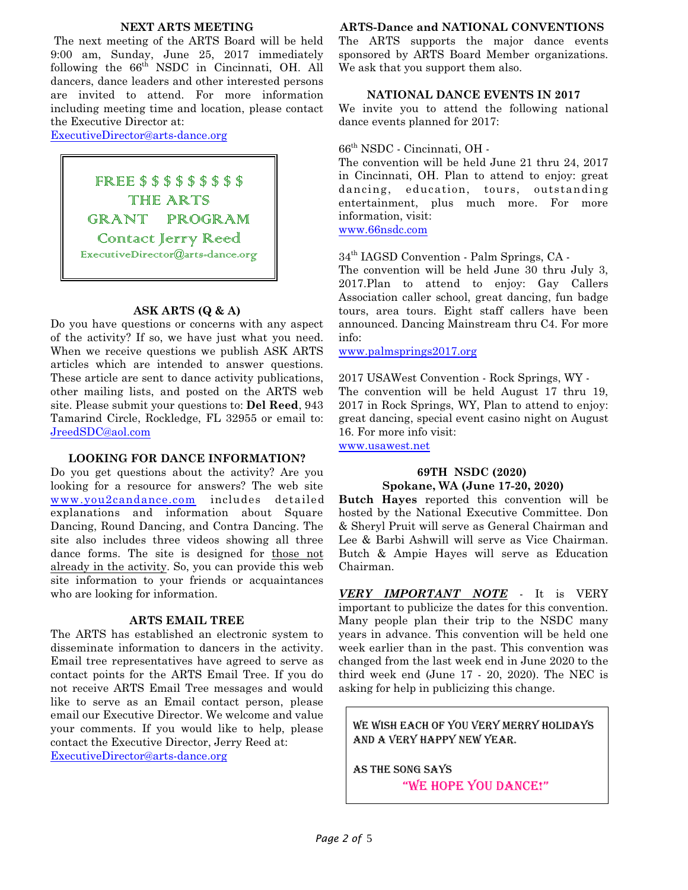#### **NEXT ARTS MEETING**

The next meeting of the ARTS Board will be held 9:00 am, Sunday, June 25, 2017 immediately following the  $66<sup>th</sup>$  NSDC in Cincinnati, OH. All dancers, dance leaders and other interested persons are invited to attend. For more information including meeting time and location, please contact the Executive Director at:

[ExecutiveDirector@arts-dance.org](mailto:ExecutiveDirector@arts-dance.org)

FREE \$ \$ \$ \$ \$ \$ \$ \$ \$ THE ARTS GRANT PROGRAM Contact Jerry Reed [ExecutiveDirector@arts-dance.org](mailto:ExecutiveDirector@arts-dance.org)

#### **ASK ARTS (Q & A)**

Do you have questions or concerns with any aspect of the activity? If so, we have just what you need. When we receive questions we publish ASK ARTS articles which are intended to answer questions. These article are sent to dance activity publications, other mailing lists, and posted on the ARTS web site. Please submit your questions to: **Del Reed**, 943 Tamarind Circle, Rockledge, FL 32955 or email to: [JreedSDC@aol.com](mailto:JreedSDC@aol.com)

#### **LOOKING FOR DANCE INFORMATION?**

Do you get questions about the activity? Are you looking for a resource for answers? The web site [www.you2candance.com](http://www.you2candance.com) includes detailed explanations and information about Square Dancing, Round Dancing, and Contra Dancing. The site also includes three videos showing all three dance forms. The site is designed for those not already in the activity. So, you can provide this web site information to your friends or acquaintances who are looking for information.

#### **ARTS EMAIL TREE**

The ARTS has established an electronic system to disseminate information to dancers in the activity. Email tree representatives have agreed to serve as contact points for the ARTS Email Tree. If you do not receive ARTS Email Tree messages and would like to serve as an Email contact person, please email our Executive Director. We welcome and value your comments. If you would like to help, please contact the Executive Director, Jerry Reed at: [ExecutiveDirector@arts-dance.org](mailto:at:ExecutiveDirector@arts-dance.org)

#### **ARTS-Dance and NATIONAL CONVENTIONS**

The ARTS supports the major dance events sponsored by ARTS Board Member organizations. We ask that you support them also.

#### **NATIONAL DANCE EVENTS IN 2017**

We invite you to attend the following national dance events planned for 2017:

#### 66th NSDC - Cincinnati, OH -

The convention will be held June 21 thru 24, 2017 in Cincinnati, OH. Plan to attend to enjoy: great dancing, education, tours, outstanding entertainment, plus much more. For more information, visit:

[www.66nsdc.com](http://www.66nsdc.com)

34th IAGSD Convention - Palm Springs, CA -

The convention will be held June 30 thru July 3, 2017.Plan to attend to enjoy: Gay Callers Association caller school, great dancing, fun badge tours, area tours. Eight staff callers have been announced. Dancing Mainstream thru C4. For more info:

[www.palmsprings2017.org](http://www.palmsprings2017.org)

2017 USAWest Convention - Rock Springs, WY - The convention will be held August 17 thru 19, 2017 in Rock Springs, WY, Plan to attend to enjoy: great dancing, special event casino night on August 16. For more info visit:

[www.usawest.net](http://www.usawest.net)

#### **69TH NSDC (2020) Spokane, WA (June 17-20, 2020)**

**Butch Hayes** reported this convention will be hosted by the National Executive Committee. Don & Sheryl Pruit will serve as General Chairman and Lee & Barbi Ashwill will serve as Vice Chairman. Butch & Ampie Hayes will serve as Education Chairman.

*VERY IMPORTANT NOTE* - It is VERY important to publicize the dates for this convention. Many people plan their trip to the NSDC many years in advance. This convention will be held one week earlier than in the past. This convention was changed from the last week end in June 2020 to the third week end (June 17 - 20, 2020). The NEC is asking for help in publicizing this change.

We wish each of you VERY Merry Holidays and a VERY Happy New Year.

As the song says "WE HOPE YOU DANCE!"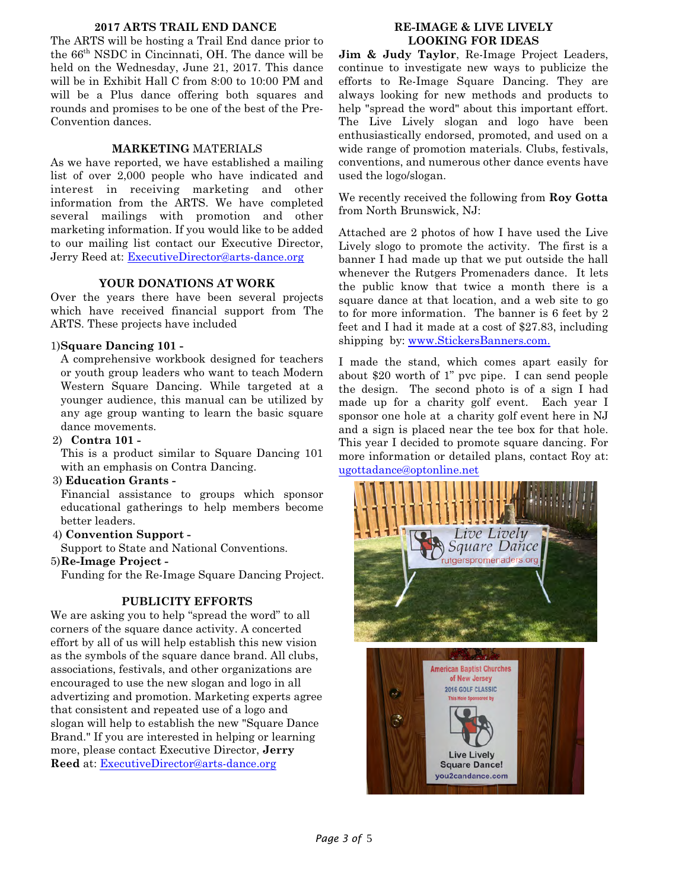#### **2017 ARTS TRAIL END DANCE**

The ARTS will be hosting a Trail End dance prior to the 66th NSDC in Cincinnati, OH. The dance will be held on the Wednesday, June 21, 2017. This dance will be in Exhibit Hall C from 8:00 to 10:00 PM and will be a Plus dance offering both squares and rounds and promises to be one of the best of the Pre-Convention dances.

#### **MARKETING** MATERIALS

As we have reported, we have established a mailing list of over 2,000 people who have indicated and interest in receiving marketing and other information from the ARTS. We have completed several mailings with promotion and other marketing information. If you would like to be added to our mailing list contact our Executive Director, Jerry Reed at: [ExecutiveDirector@arts-dance.org](mailto:ExecutiveDirector@arts-dance.org)

#### **YOUR DONATIONS AT WORK**

Over the years there have been several projects which have received financial support from The ARTS. These projects have included

#### 1)**Square Dancing 101 -**

A comprehensive workbook designed for teachers or youth group leaders who want to teach Modern Western Square Dancing. While targeted at a younger audience, this manual can be utilized by any age group wanting to learn the basic square dance movements.

#### 2) **Contra 101 -**

This is a product similar to Square Dancing 101 with an emphasis on Contra Dancing.

#### 3) **Education Grants -**

Financial assistance to groups which sponsor educational gatherings to help members become better leaders.

#### 4) **Convention Support -**

Support to State and National Conventions.

#### 5)**Re-Image Project -**

Funding for the Re-Image Square Dancing Project.

#### **PUBLICITY EFFORTS**

We are asking you to help "spread the word" to all corners of the square dance activity. A concerted effort by all of us will help establish this new vision as the symbols of the square dance brand. All clubs, associations, festivals, and other organizations are encouraged to use the new slogan and logo in all advertizing and promotion. Marketing experts agree that consistent and repeated use of a logo and slogan will help to establish the new "Square Dance Brand." If you are interested in helping or learning more, please contact Executive Director, **Jerry Reed** at: [ExecutiveDirector@arts-dance.org](mailto:ExecutiveDirector@arts-dance.org)

### **RE-IMAGE & LIVE LIVELY LOOKING FOR IDEAS**

**Jim & Judy Taylor**, Re-Image Project Leaders, continue to investigate new ways to publicize the efforts to Re-Image Square Dancing. They are always looking for new methods and products to help "spread the word" about this important effort. The Live Lively slogan and logo have been enthusiastically endorsed, promoted, and used on a wide range of promotion materials. Clubs, festivals, conventions, and numerous other dance events have used the logo/slogan.

We recently received the following from **Roy Gotta** from North Brunswick, NJ:

Attached are 2 photos of how I have used the Live Lively slogo to promote the activity. The first is a banner I had made up that we put outside the hall whenever the Rutgers Promenaders dance. It lets the public know that twice a month there is a square dance at that location, and a web site to go to for more information. The banner is 6 feet by 2 feet and I had it made at a cost of \$27.83, including shipping by: [www.StickersBanners.com.](http://www.StickersBanners.com.)

I made the stand, which comes apart easily for about \$20 worth of 1" pvc pipe. I can send people the design. The second photo is of a sign I had made up for a charity golf event. Each year I sponsor one hole at a charity golf event here in NJ and a sign is placed near the tee box for that hole. This year I decided to promote square dancing. For more information or detailed plans, contact Roy at: [ugottadance@optonline.net](mailto:ugottadance@optonline.net)

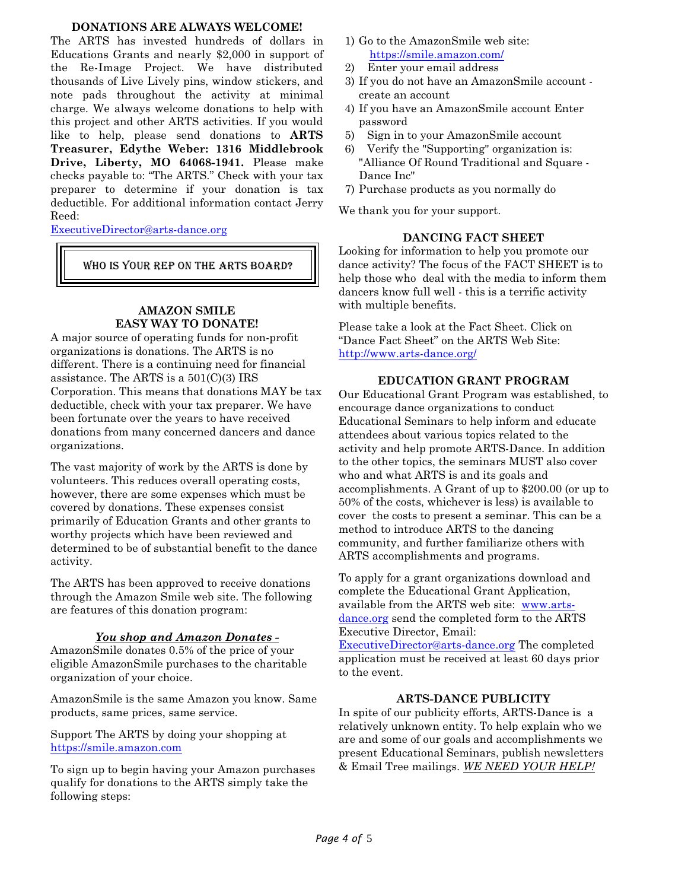#### **DONATIONS ARE ALWAYS WELCOME!**

The ARTS has invested hundreds of dollars in Educations Grants and nearly \$2,000 in support of the Re-Image Project. We have distributed thousands of Live Lively pins, window stickers, and note pads throughout the activity at minimal charge. We always welcome donations to help with this project and other ARTS activities. If you would like to help, please send donations to **ARTS Treasurer, Edythe Weber: 1316 Middlebrook Drive, Liberty, MO 64068-1941.** Please make checks payable to: "The ARTS." Check with your tax preparer to determine if your donation is tax deductible. For additional information contact Jerry Reed:

[ExecutiveDirector@arts-dance.org](mailto:ExecutiveDirector@arts-dance.org)

WHO IS YOUR REP ON THE ARTS BOARD?

## **AMAZON SMILE EASY WAY TO DONATE!**

A major source of operating funds for non-profit organizations is donations. The ARTS is no different. There is a continuing need for financial assistance. The ARTS is a 501(C)(3) IRS Corporation. This means that donations MAY be tax deductible, check with your tax preparer. We have been fortunate over the years to have received donations from many concerned dancers and dance organizations.

The vast majority of work by the ARTS is done by volunteers. This reduces overall operating costs, however, there are some expenses which must be covered by donations. These expenses consist primarily of Education Grants and other grants to worthy projects which have been reviewed and determined to be of substantial benefit to the dance activity.

The ARTS has been approved to receive donations through the Amazon Smile web site. The following are features of this donation program:

## *You shop and Amazon Donates -*

AmazonSmile donates 0.5% of the price of your eligible AmazonSmile purchases to the charitable organization of your choice.

AmazonSmile is the same Amazon you know. Same products, same prices, same service.

Support The ARTS by doing your shopping at <https://smile.amazon.com>

To sign up to begin having your Amazon purchases qualify for donations to the ARTS simply take the following steps:

- 1) Go to the AmazonSmile web site: <https://smile.amazon.com/>
- 2) Enter your email address
- 3) If you do not have an AmazonSmile account create an account
- 4) If you have an AmazonSmile account Enter password
- 5) Sign in to your AmazonSmile account
- Verify the "Supporting" organization is: "Alliance Of Round Traditional and Square - Dance Inc"
- 7) Purchase products as you normally do

We thank you for your support.

## **DANCING FACT SHEET**

Looking for information to help you promote our dance activity? The focus of the FACT SHEET is to help those who deal with the media to inform them dancers know full well - this is a terrific activity with multiple benefits.

Please take a look at the Fact Sheet. Click on "Dance Fact Sheet" on the ARTS Web Site: <http://www.arts-dance.org/>

## **EDUCATION GRANT PROGRAM**

Our Educational Grant Program was established, to encourage dance organizations to conduct Educational Seminars to help inform and educate attendees about various topics related to the activity and help promote ARTS-Dance. In addition to the other topics, the seminars MUST also cover who and what ARTS is and its goals and accomplishments. A Grant of up to \$200.00 (or up to 50% of the costs, whichever is less) is available to cover the costs to present a seminar. This can be a method to introduce ARTS to the dancing community, and further familiarize others with ARTS accomplishments and programs.

To apply for a grant organizations download and complete the Educational Grant Application, available from the ARTS web site: [www.arts](http://www.arts-dance.org)[dance.org](http://www.arts-dance.org) send the completed form to the ARTS Executive Director, Email:

[ExecutiveDirector@arts-dance.org](mailto:ExecutiveDirector@arts-dance.org) The completed application must be received at least 60 days prior to the event.

## **ARTS-DANCE PUBLICITY**

In spite of our publicity efforts, ARTS-Dance is a relatively unknown entity. To help explain who we are and some of our goals and accomplishments we present Educational Seminars, publish newsletters & Email Tree mailings. *WE NEED YOUR HELP!*